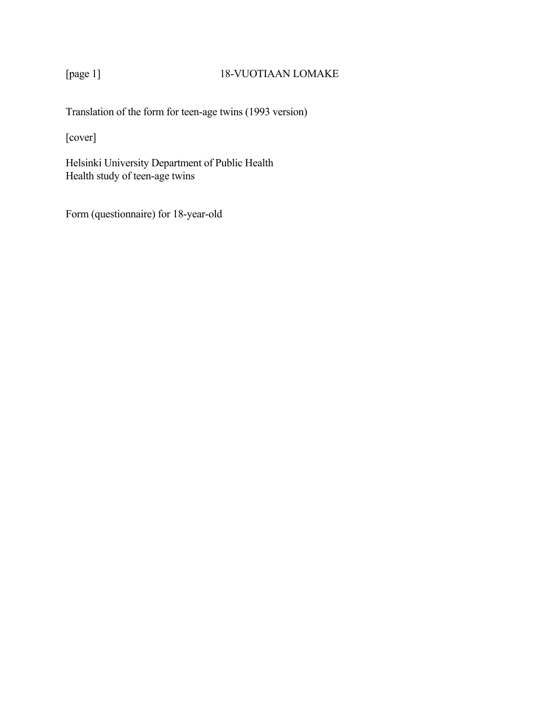# [page 1] 18-VUOTIAAN LOMAKE

Translation of the form for teen-age twins (1993 version)

[cover]

Helsinki University Department of Public Health Health study of teen-age twins

Form (questionnaire) for 18-year-old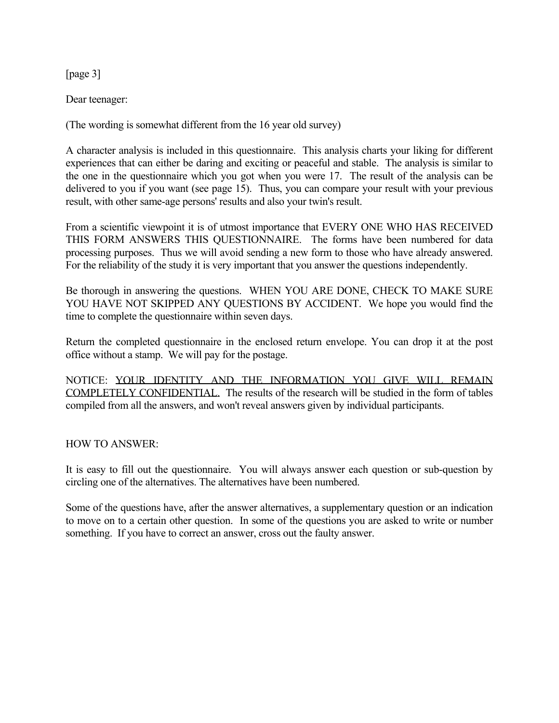[page 3]

Dear teenager:

(The wording is somewhat different from the 16 year old survey)

A character analysis is included in this questionnaire. This analysis charts your liking for different experiences that can either be daring and exciting or peaceful and stable. The analysis is similar to the one in the questionnaire which you got when you were 17. The result of the analysis can be delivered to you if you want (see page 15). Thus, you can compare your result with your previous result, with other same-age persons' results and also your twin's result.

From a scientific viewpoint it is of utmost importance that EVERY ONE WHO HAS RECEIVED THIS FORM ANSWERS THIS QUESTIONNAIRE. The forms have been numbered for data processing purposes. Thus we will avoid sending a new form to those who have already answered. For the reliability of the study it is very important that you answer the questions independently.

Be thorough in answering the questions. WHEN YOU ARE DONE, CHECK TO MAKE SURE YOU HAVE NOT SKIPPED ANY QUESTIONS BY ACCIDENT. We hope you would find the time to complete the questionnaire within seven days.

Return the completed questionnaire in the enclosed return envelope. You can drop it at the post office without a stamp. We will pay for the postage.

NOTICE: YOUR IDENTITY AND THE INFORMATION YOU GIVE WILL REMAIN COMPLETELY CONFIDENTIAL. The results of the research will be studied in the form of tables compiled from all the answers, and won't reveal answers given by individual participants.

HOW TO ANSWER:

It is easy to fill out the questionnaire. You will always answer each question or sub-question by circling one of the alternatives. The alternatives have been numbered.

Some of the questions have, after the answer alternatives, a supplementary question or an indication to move on to a certain other question. In some of the questions you are asked to write or number something. If you have to correct an answer, cross out the faulty answer.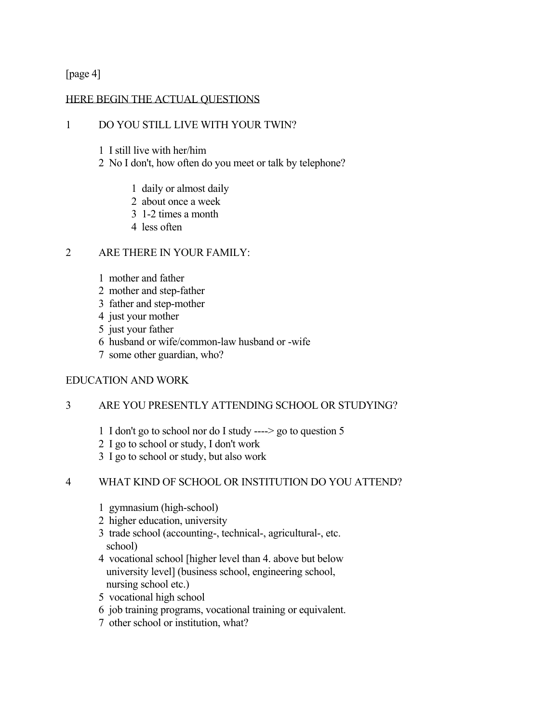[page 4]

## HERE BEGIN THE ACTUAL QUESTIONS

### 1 DO YOU STILL LIVE WITH YOUR TWIN?

- 1 I still live with her/him
- 2 No I don't, how often do you meet or talk by telephone?
	- 1 daily or almost daily
	- 2 about once a week
	- 3 1-2 times a month
	- 4 less often

#### 2 ARE THERE IN YOUR FAMILY:

- 1 mother and father
- 2 mother and step-father
- 3 father and step-mother
- 4 just your mother
- 5 just your father
- 6 husband or wife/common-law husband or -wife
- 7 some other guardian, who?

#### EDUCATION AND WORK

#### 3 ARE YOU PRESENTLY ATTENDING SCHOOL OR STUDYING?

- 1 I don't go to school nor do I study ----> go to question 5
- 2 I go to school or study, I don't work
- 3 I go to school or study, but also work

#### 4 WHAT KIND OF SCHOOL OR INSTITUTION DO YOU ATTEND?

- 1 gymnasium (high-school)
- 2 higher education, university
- 3 trade school (accounting-, technical-, agricultural-, etc. school)
- 4 vocational school [higher level than 4. above but below university level] (business school, engineering school, nursing school etc.)
- 5 vocational high school
- 6 job training programs, vocational training or equivalent.
- 7 other school or institution, what?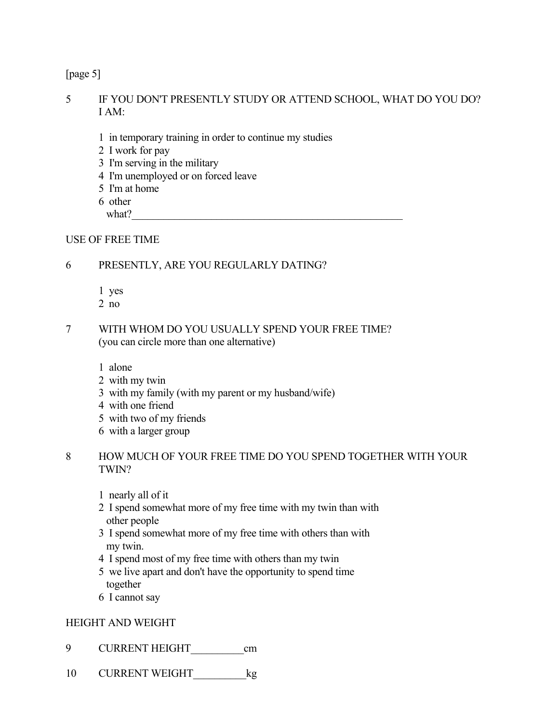[page 5]

## 5 IF YOU DON'T PRESENTLY STUDY OR ATTEND SCHOOL, WHAT DO YOU DO? I AM:

- 1 in temporary training in order to continue my studies
- 2 I work for pay
- 3 I'm serving in the military
- 4 I'm unemployed or on forced leave
- 5 I'm at home
- 6 other

what?\_\_\_\_\_\_\_\_\_\_\_\_\_\_\_\_\_\_\_\_\_\_\_\_\_\_\_\_\_\_\_\_\_\_\_\_\_\_\_\_\_\_\_\_\_\_\_\_\_\_\_

## USE OF FREE TIME

# 6 PRESENTLY, ARE YOU REGULARLY DATING?

- 1 yes
- 2 no
- 7 WITH WHOM DO YOU USUALLY SPEND YOUR FREE TIME? (you can circle more than one alternative)

1 alone

- 2 with my twin
- 3 with my family (with my parent or my husband/wife)
- 4 with one friend
- 5 with two of my friends
- 6 with a larger group

## 8 HOW MUCH OF YOUR FREE TIME DO YOU SPEND TOGETHER WITH YOUR TWIN?

- 1 nearly all of it
- 2 I spend somewhat more of my free time with my twin than with other people
- 3 I spend somewhat more of my free time with others than with my twin.
- 4 I spend most of my free time with others than my twin
- 5 we live apart and don't have the opportunity to spend time together
- 6 I cannot say

# HEIGHT AND WEIGHT

- 9 CURRENT HEIGHT cm
- 10 CURRENT WEIGHT leg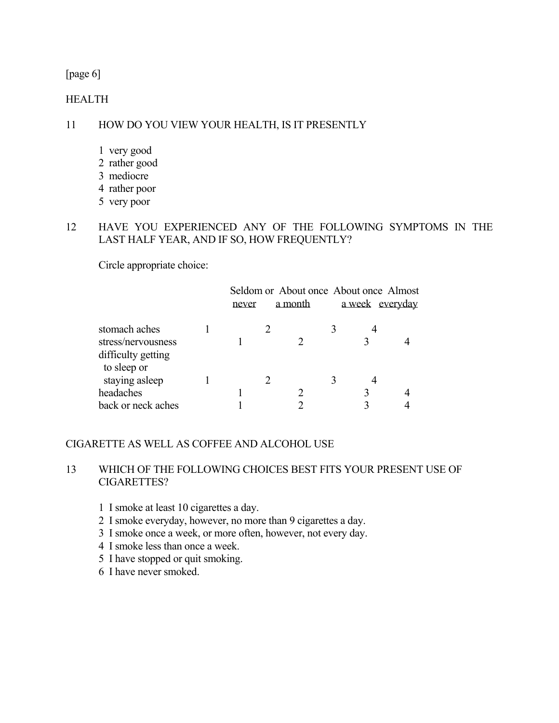## [page 6]

#### **HEALTH**

## 11 HOW DO YOU VIEW YOUR HEALTH, IS IT PRESENTLY

- 1 very good
- 2 rather good
- 3 mediocre
- 4 rather poor
- 5 very poor

## 12 HAVE YOU EXPERIENCED ANY OF THE FOLLOWING SYMPTOMS IN THE LAST HALF YEAR, AND IF SO, HOW FREQUENTLY?

Circle appropriate choice:

|                                                           | never | a month | Seldom or About once About once Almost<br>a week everyday |  |
|-----------------------------------------------------------|-------|---------|-----------------------------------------------------------|--|
| stomach aches<br>stress/nervousness<br>difficulty getting |       |         |                                                           |  |
| to sleep or<br>staying asleep<br>headaches                |       |         |                                                           |  |
| back or neck aches                                        |       |         |                                                           |  |

## CIGARETTE AS WELL AS COFFEE AND ALCOHOL USE

## 13 WHICH OF THE FOLLOWING CHOICES BEST FITS YOUR PRESENT USE OF CIGARETTES?

- 1 I smoke at least 10 cigarettes a day.
- 2 I smoke everyday, however, no more than 9 cigarettes a day.
- 3 I smoke once a week, or more often, however, not every day.
- 4 I smoke less than once a week.
- 5 I have stopped or quit smoking.
- 6 I have never smoked.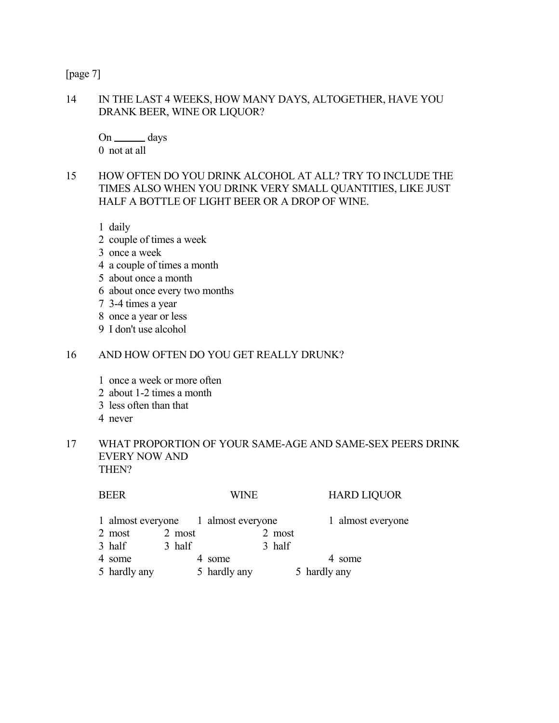[page 7]

## 14 IN THE LAST 4 WEEKS, HOW MANY DAYS, ALTOGETHER, HAVE YOU DRANK BEER, WINE OR LIQUOR?

On days 0 not at all

## 15 HOW OFTEN DO YOU DRINK ALCOHOL AT ALL? TRY TO INCLUDE THE TIMES ALSO WHEN YOU DRINK VERY SMALL QUANTITIES, LIKE JUST HALF A BOTTLE OF LIGHT BEER OR A DROP OF WINE.

1 daily

- 2 couple of times a week
- 3 once a week
- 4 a couple of times a month
- 5 about once a month
- 6 about once every two months
- 7 3-4 times a year
- 8 once a year or less
- 9 I don't use alcohol

#### 16 AND HOW OFTEN DO YOU GET REALLY DRUNK?

- 1 once a week or more often
- 2 about 1-2 times a month
- 3 less often than that
- 4 never

### 17 WHAT PROPORTION OF YOUR SAME-AGE AND SAME-SEX PEERS DRINK EVERY NOW AND THEN?

| <b>BEER</b>                         |        | WINE         |        | <b>HARD LIQUOR</b> |
|-------------------------------------|--------|--------------|--------|--------------------|
| 1 almost everyone 1 almost everyone |        |              |        | 1 almost everyone  |
| 2 most                              | 2 most |              | 2 most |                    |
| 3 half                              | 3 half |              | 3 half |                    |
| 4 some                              |        | some         |        | 4 some             |
| 5 hardly any                        |        | 5 hardly any |        | 5 hardly any       |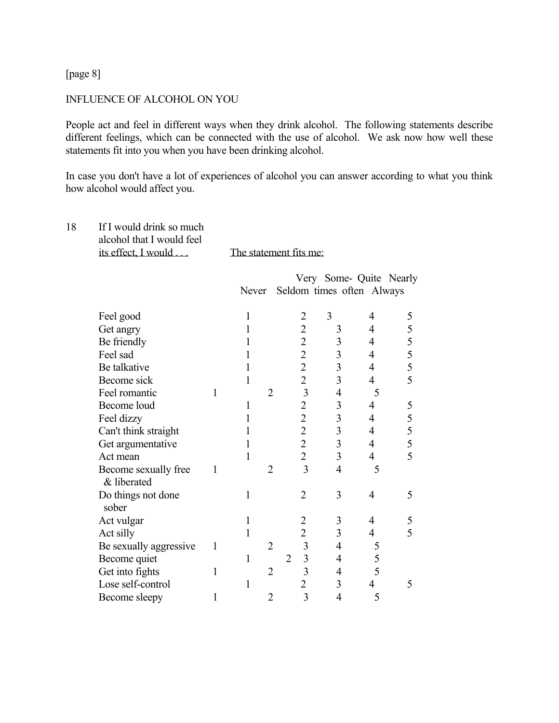[page 8]

#### INFLUENCE OF ALCOHOL ON YOU

People act and feel in different ways when they drink alcohol. The following statements describe different feelings, which can be connected with the use of alcohol. We ask now how well these statements fit into you when you have been drinking alcohol.

In case you don't have a lot of experiences of alcohol you can answer according to what you think how alcohol would affect you.

| 18 | If I would drink so much<br>alcohol that I would feel<br>its effect, I would |              | The statement fits me: |                |                                  |                         |                |                         |
|----|------------------------------------------------------------------------------|--------------|------------------------|----------------|----------------------------------|-------------------------|----------------|-------------------------|
|    |                                                                              |              | Never                  |                | Seldom times often Always        |                         |                | Very Some- Quite Nearly |
|    | Feel good                                                                    |              | $\mathbf{1}$           |                | $\overline{2}$                   | 3                       | 4              | 5                       |
|    | Get angry                                                                    |              | 1                      |                | $\overline{c}$                   | 3                       | 4              | 5                       |
|    | Be friendly                                                                  |              | 1                      |                | $\overline{2}$                   | $\overline{3}$          | 4              | $rac{5}{5}$             |
|    | Feel sad                                                                     |              | 1                      |                | $\overline{2}$                   | $\overline{\mathbf{3}}$ | $\overline{4}$ |                         |
|    | Be talkative                                                                 |              | 1                      |                | $\overline{c}$                   | $\overline{3}$          | 4              | 5                       |
|    | Become sick                                                                  |              | 1                      |                | $\overline{2}$                   | $\overline{3}$          | $\overline{4}$ | 5                       |
|    | Feel romantic                                                                | $\mathbf{1}$ |                        | $\overline{2}$ | $\overline{\mathbf{3}}$          | $\overline{4}$          | 5              |                         |
|    | Become loud                                                                  |              | 1                      |                | $\overline{2}$                   | $\overline{3}$          | $\overline{4}$ | 5                       |
|    | Feel dizzy                                                                   |              | 1                      |                | $\overline{2}$                   | $\overline{\mathbf{3}}$ | $\overline{4}$ | 5                       |
|    | Can't think straight                                                         |              | 1                      |                | $\overline{2}$                   | $\overline{3}$          | $\overline{4}$ | $rac{5}{5}$             |
|    | Get argumentative                                                            |              | 1                      |                | $\overline{2}$                   | $\overline{\mathbf{3}}$ | $\overline{4}$ |                         |
|    | Act mean                                                                     |              | 1                      |                | $\overline{2}$                   | $\overline{3}$          | $\overline{4}$ | $\overline{5}$          |
|    | Become sexually free<br>& liberated                                          | 1            |                        | $\overline{2}$ | $\overline{3}$                   | $\overline{4}$          | 5              |                         |
|    | Do things not done<br>sober                                                  |              | 1                      |                | $\overline{2}$                   | 3                       | $\overline{4}$ | 5                       |
|    | Act vulgar                                                                   |              | $\mathbf{1}$           |                | $\overline{c}$                   | 3                       | 4              | 5                       |
|    | Act silly                                                                    |              | 1                      |                | $\overline{2}$                   | 3                       | $\overline{4}$ | 5                       |
|    | Be sexually aggressive                                                       | $\mathbf{1}$ |                        | $\overline{2}$ | $\overline{\mathbf{3}}$          | $\overline{4}$          | 5              |                         |
|    | Become quiet                                                                 |              | 1                      |                | $\overline{3}$<br>$\overline{2}$ | $\overline{4}$          | 5              |                         |
|    | Get into fights                                                              | $\mathbf{1}$ |                        | $\overline{2}$ | $\overline{3}$                   | $\overline{4}$          | 5              |                         |
|    | Lose self-control                                                            |              | 1                      |                | $\overline{2}$                   | 3                       | $\overline{4}$ | 5                       |
|    | Become sleepy                                                                | 1            |                        | $\overline{2}$ | 3                                | $\overline{4}$          | 5              |                         |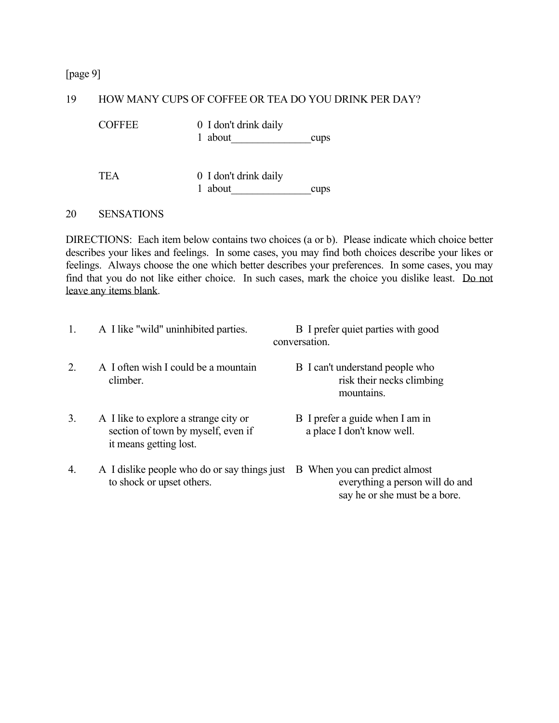[page 9]

#### 19 HOW MANY CUPS OF COFFEE OR TEA DO YOU DRINK PER DAY?

COFFEE 0 I don't drink daily

1 about cups

TEA 0 I don't drink daily 1 about cups

#### 20 SENSATIONS

DIRECTIONS: Each item below contains two choices (a or b). Please indicate which choice better describes your likes and feelings. In some cases, you may find both choices describe your likes or feelings. Always choose the one which better describes your preferences. In some cases, you may find that you do not like either choice. In such cases, mark the choice you dislike least. Do not leave any items blank.

| 1. | A I like "wild" uninhibited parties.                                                                  | B I prefer quiet parties with good<br>conversation.                                               |
|----|-------------------------------------------------------------------------------------------------------|---------------------------------------------------------------------------------------------------|
| 2. | A I often wish I could be a mountain<br>climber.                                                      | B I can't understand people who<br>risk their necks climbing<br>mountains.                        |
| 3. | A I like to explore a strange city or<br>section of town by myself, even if<br>it means getting lost. | B I prefer a guide when I am in<br>a place I don't know well.                                     |
| 4. | A I dislike people who do or say things just<br>to shock or upset others.                             | B When you can predict almost<br>everything a person will do and<br>say he or she must be a bore. |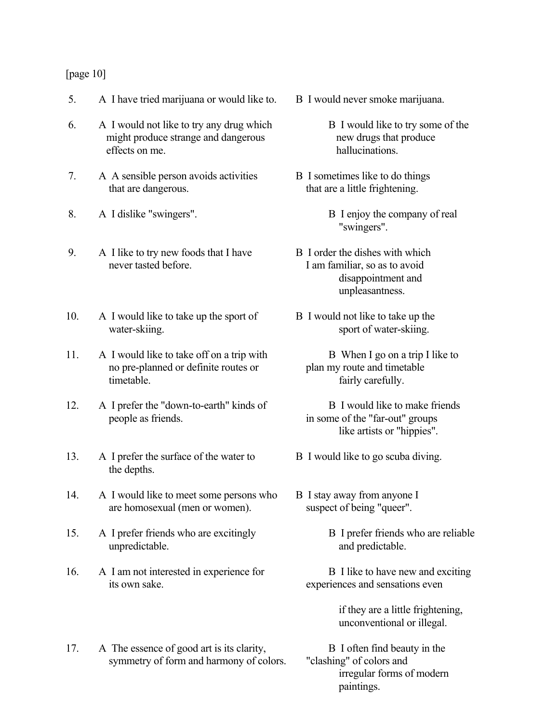#### [page 10]

- 5. A I have tried marijuana or would like to. B I would never smoke marijuana.
- 6. A I would not like to try any drug which B I would like to try some of the might produce strange and dangerous new drugs that produce effects on me. hallucinations.
- 7. A A sensible person avoids activities B I sometimes like to do things that are dangerous. that are a little frightening.
- 8. A I dislike "swingers". B I enjoy the company of real
- 9. A I like to try new foods that I have B I order the dishes with which never tasted before. I am familiar, so as to avoid
- 10. A I would like to take up the sport of B I would not like to take up the water-skiing. sport of water-skiing.
- 11. A I would like to take off on a trip with B When I go on a trip I like to no pre-planned or definite routes or plan my route and timetable timetable. **fairly carefully**.
- 12. A I prefer the "down-to-earth" kinds of B I would like to make friends people as friends. in some of the "far-out" groups
- 13. A I prefer the surface of the water to B I would like to go scuba diving. the depths.
- 14. A I would like to meet some persons who B I stay away from anyone I are homosexual (men or women). suspect of being "queer".
- 15. A I prefer friends who are excitingly B I prefer friends who are reliable unpredictable. and predictable.
- 16. A I am not interested in experience for B I like to have new and exciting its own sake. experiences and sensations even
- 17. A The essence of good art is its clarity, B I often find beauty in the symmetry of form and harmony of colors. "clashing" of colors and
- -
- - "swingers".
- disappointment and unpleasantness.
- -
	- like artists or "hippies".
- 
- -
	- - if they are a little frightening, unconventional or illegal.
	- irregular forms of modern paintings.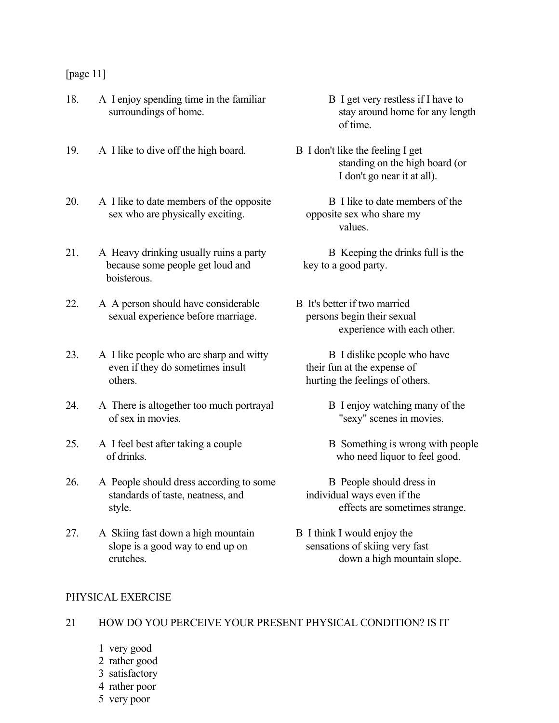#### [page 11]

- 18. A I enjoy spending time in the familiar B I get very restless if I have to surroundings of home.
- 19. A I like to dive off the high board. B I don't like the feeling I get
- 20. A I like to date members of the opposite B I like to date members of the sex who are physically exciting. opposite sex who share my
- 21. A Heavy drinking usually ruins a party B Keeping the drinks full is the because some people get loud and key to a good party. **boisterous**
- 22. A A person should have considerable B It's better if two married sexual experience before marriage. persons begin their sexual
- 23. A I like people who are sharp and witty B I dislike people who have even if they do sometimes insult their fun at the expense of others. hurting the feelings of others.
- 24. A There is altogether too much portrayal B I enjoy watching many of the of sex in movies. "sexy" scenes in movies.
- 25. A I feel best after taking a couple B Something is wrong with people of drinks. who need liquor to feel good.
- 26. A People should dress according to some B People should dress in standards of taste, neatness, and individual ways even if the style. effects are sometimes strange.
- 27. A Skiing fast down a high mountain B I think I would enjoy the slope is a good way to end up on sensations of skiing very fast
- stay around home for any length of time.
	- standing on the high board (or I don't go near it at all).
- values.
	-
	- experience with each other.
		- -
			-
		-
	- crutches. down a high mountain slope.

#### PHYSICAL EXERCISE

## 21 HOW DO YOU PERCEIVE YOUR PRESENT PHYSICAL CONDITION? IS IT

- 1 very good
- 2 rather good
- 3 satisfactory
- 4 rather poor
- 5 very poor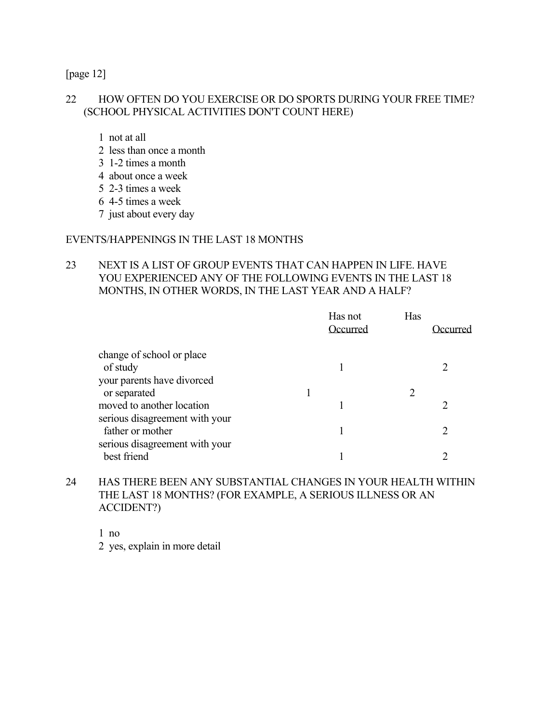[page 12]

### 22 HOW OFTEN DO YOU EXERCISE OR DO SPORTS DURING YOUR FREE TIME? (SCHOOL PHYSICAL ACTIVITIES DON'T COUNT HERE)

- 1 not at all
- 2 less than once a month
- 3 1-2 times a month
- 4 about once a week
- 5 2-3 times a week
- 6 4-5 times a week
- 7 just about every day

### EVENTS/HAPPENINGS IN THE LAST 18 MONTHS

## 23 NEXT IS A LIST OF GROUP EVENTS THAT CAN HAPPEN IN LIFE. HAVE YOU EXPERIENCED ANY OF THE FOLLOWING EVENTS IN THE LAST 18 MONTHS, IN OTHER WORDS, IN THE LAST YEAR AND A HALF?

| Occurred | Has     | Occurred |
|----------|---------|----------|
|          |         |          |
|          |         |          |
|          |         |          |
|          |         |          |
|          |         |          |
|          |         |          |
|          |         |          |
|          |         |          |
|          |         |          |
|          | Has not |          |

## 24 HAS THERE BEEN ANY SUBSTANTIAL CHANGES IN YOUR HEALTH WITHIN THE LAST 18 MONTHS? (FOR EXAMPLE, A SERIOUS ILLNESS OR AN ACCIDENT?)

1 no

2 yes, explain in more detail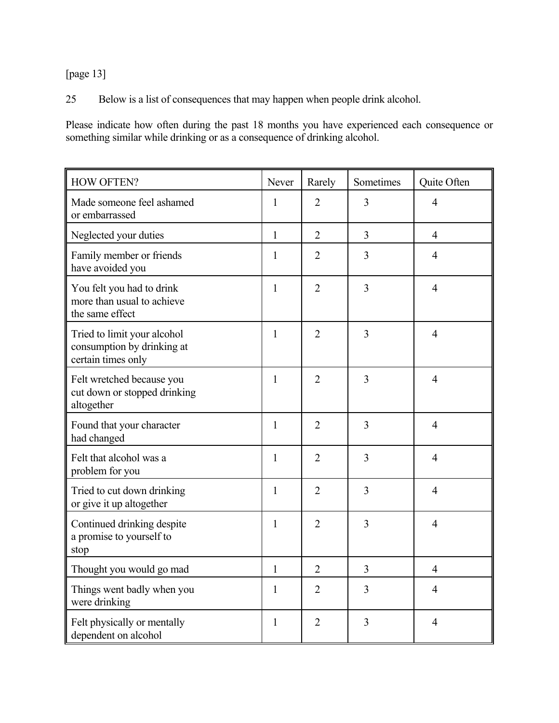[page 13]

25 Below is a list of consequences that may happen when people drink alcohol.

Please indicate how often during the past 18 months you have experienced each consequence or something similar while drinking or as a consequence of drinking alcohol.

| <b>HOW OFTEN?</b>                                                               | Never        | Rarely         | Sometimes      | Quite Often    |
|---------------------------------------------------------------------------------|--------------|----------------|----------------|----------------|
| Made someone feel ashamed<br>or embarrassed                                     | 1            | $\overline{2}$ | $\overline{3}$ | $\overline{4}$ |
| Neglected your duties                                                           | $\mathbf{1}$ | $\overline{2}$ | 3              | $\overline{4}$ |
| Family member or friends<br>have avoided you                                    | $\mathbf{1}$ | $\overline{2}$ | $\overline{3}$ | $\overline{4}$ |
| You felt you had to drink<br>more than usual to achieve<br>the same effect      | $\mathbf{1}$ | $\overline{2}$ | $\overline{3}$ | $\overline{4}$ |
| Tried to limit your alcohol<br>consumption by drinking at<br>certain times only | 1            | $\overline{2}$ | $\overline{3}$ | $\overline{4}$ |
| Felt wretched because you<br>cut down or stopped drinking<br>altogether         | $\mathbf{1}$ | $\overline{2}$ | $\overline{3}$ | $\overline{4}$ |
| Found that your character<br>had changed                                        | 1            | $\overline{2}$ | $\overline{3}$ | $\overline{4}$ |
| Felt that alcohol was a<br>problem for you                                      | 1            | $\overline{2}$ | $\overline{3}$ | $\overline{4}$ |
| Tried to cut down drinking<br>or give it up altogether                          | 1            | $\overline{2}$ | 3              | $\overline{4}$ |
| Continued drinking despite<br>a promise to yourself to<br>stop                  | $\mathbf{1}$ | $\overline{2}$ | 3              | $\overline{4}$ |
| Thought you would go mad                                                        | $\mathbf{1}$ | $\overline{2}$ | 3              | $\overline{4}$ |
| Things went badly when you<br>were drinking                                     | 1            | $\overline{2}$ | 3              | $\overline{4}$ |
| Felt physically or mentally<br>dependent on alcohol                             | $\mathbf{1}$ | $\overline{2}$ | 3              | $\overline{4}$ |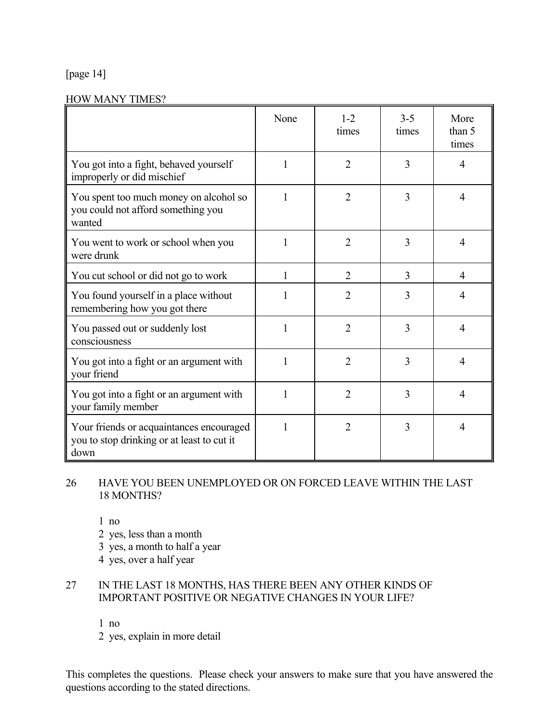# [page 14]

#### HOW MANY TIMES?

|                                                                                                | None         | $1 - 2$<br>times | $3-5$<br>times | More<br>than 5<br>times |
|------------------------------------------------------------------------------------------------|--------------|------------------|----------------|-------------------------|
| You got into a fight, behaved yourself<br>improperly or did mischief                           | 1            | $\overline{2}$   | 3              | $\overline{4}$          |
| You spent too much money on alcohol so<br>you could not afford something you<br>wanted         | 1            | $\overline{2}$   | 3              | $\overline{4}$          |
| You went to work or school when you<br>were drunk                                              | 1            | $\overline{2}$   | 3              | $\overline{4}$          |
| You cut school or did not go to work                                                           | 1            | $\overline{2}$   | 3              | $\overline{4}$          |
| You found yourself in a place without<br>remembering how you got there                         | 1            | $\overline{2}$   | 3              | $\overline{4}$          |
| You passed out or suddenly lost<br>consciousness                                               | 1            | $\overline{2}$   | 3              | $\overline{4}$          |
| You got into a fight or an argument with<br>your friend                                        | $\mathbf{1}$ | $\overline{2}$   | 3              | $\overline{4}$          |
| You got into a fight or an argument with<br>your family member                                 | 1            | $\overline{2}$   | 3              | $\overline{4}$          |
| Your friends or acquaintances encouraged<br>you to stop drinking or at least to cut it<br>down | 1            | $\overline{2}$   | 3              | $\overline{4}$          |

## 26 HAVE YOU BEEN UNEMPLOYED OR ON FORCED LEAVE WITHIN THE LAST 18 MONTHS?

1 no

2 yes, less than a month

3 yes, a month to half a year

4 yes, over a half year

## 27 IN THE LAST 18 MONTHS, HAS THERE BEEN ANY OTHER KINDS OF IMPORTANT POSITIVE OR NEGATIVE CHANGES IN YOUR LIFE?

1 no

2 yes, explain in more detail

This completes the questions. Please check your answers to make sure that you have answered the questions according to the stated directions.